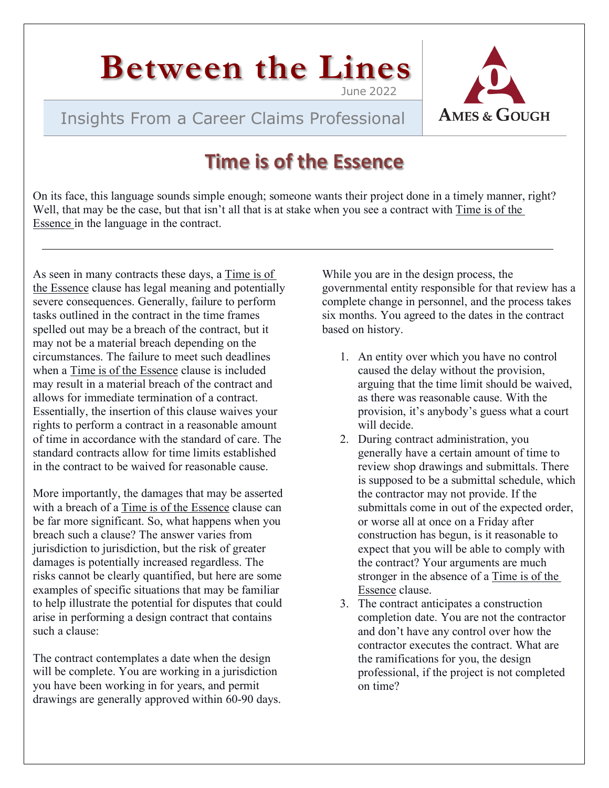# **Between the Lines**

Insights From a Career Claims Professional



# **Time is of the Essence**

On its face, this language sounds simple enough; someone wants their project done in a timely manner, right? Well, that may be the case, but that isn't all that is at stake when you see a contract with Time is of the Essence in the language in the contract.

As seen in many contracts these days, a Time is of the Essence clause has legal meaning and potentially severe consequences. Generally, failure to perform tasks outlined in the contract in the time frames spelled out may be a breach of the contract, but it may not be a material breach depending on the circumstances. The failure to meet such deadlines when a Time is of the Essence clause is included may result in a material breach of the contract and allows for immediate termination of a contract. Essentially, the insertion of this clause waives your rights to perform a contract in a reasonable amount of time in accordance with the standard of care. The standard contracts allow for time limits established in the contract to be waived for reasonable cause.

More importantly, the damages that may be asserted with a breach of a Time is of the Essence clause can be far more significant. So, what happens when you breach such a clause? The answer varies from jurisdiction to jurisdiction, but the risk of greater damages is potentially increased regardless. The risks cannot be clearly quantified, but here are some examples of specific situations that may be familiar to help illustrate the potential for disputes that could arise in performing a design contract that contains such a clause:

The contract contemplates a date when the design will be complete. You are working in a jurisdiction you have been working in for years, and permit drawings are generally approved within 60-90 days. While you are in the design process, the governmental entity responsible for that review has a complete change in personnel, and the process takes six months. You agreed to the dates in the contract based on history.

- 1. An entity over which you have no control caused the delay without the provision, arguing that the time limit should be waived, as there was reasonable cause. With the provision, it's anybody's guess what a court will decide.
- 2. During contract administration, you generally have a certain amount of time to review shop drawings and submittals. There is supposed to be a submittal schedule, which the contractor may not provide. If the submittals come in out of the expected order, or worse all at once on a Friday after construction has begun, is it reasonable to expect that you will be able to comply with the contract? Your arguments are much stronger in the absence of a Time is of the Essence clause.
- 3. The contract anticipates a construction completion date. You are not the contractor and don't have any control over how the contractor executes the contract. What are the ramifications for you, the design professional, if the project is not completed on time?